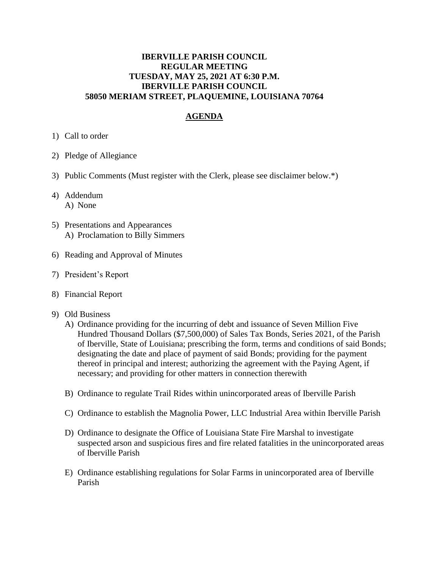## **IBERVILLE PARISH COUNCIL REGULAR MEETING TUESDAY, MAY 25, 2021 AT 6:30 P.M. IBERVILLE PARISH COUNCIL 58050 MERIAM STREET, PLAQUEMINE, LOUISIANA 70764**

## **AGENDA**

- 1) Call to order
- 2) Pledge of Allegiance
- 3) Public Comments (Must register with the Clerk, please see disclaimer below.\*)
- 4) Addendum A) None
- 5) Presentations and Appearances A) Proclamation to Billy Simmers
- 6) Reading and Approval of Minutes
- 7) President's Report
- 8) Financial Report
- 9) Old Business
	- A) Ordinance providing for the incurring of debt and issuance of Seven Million Five Hundred Thousand Dollars (\$7,500,000) of Sales Tax Bonds, Series 2021, of the Parish of Iberville, State of Louisiana; prescribing the form, terms and conditions of said Bonds; designating the date and place of payment of said Bonds; providing for the payment thereof in principal and interest; authorizing the agreement with the Paying Agent, if necessary; and providing for other matters in connection therewith
	- B) Ordinance to regulate Trail Rides within unincorporated areas of Iberville Parish
	- C) Ordinance to establish the Magnolia Power, LLC Industrial Area within Iberville Parish
	- D) Ordinance to designate the Office of Louisiana State Fire Marshal to investigate suspected arson and suspicious fires and fire related fatalities in the unincorporated areas of Iberville Parish
	- E) Ordinance establishing regulations for Solar Farms in unincorporated area of Iberville Parish